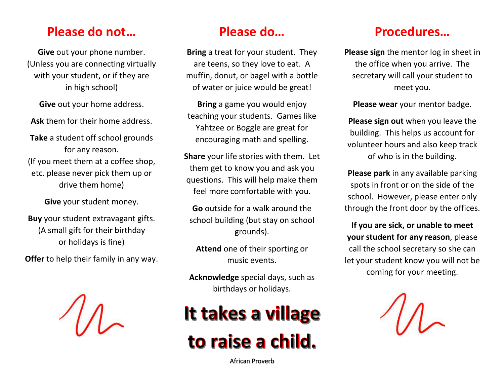### **Please do not…**

**Give** out your phone number. (Unless you are connecting virtually with your student, or if they are in high school)

**Give** out your home address.

**Ask** them for their home address.

**Take** a student off school grounds for any reason. (If you meet them at a coffee shop, etc. please never pick them up or drive them home)

**Give** your student money.

**Buy** your student extravagant gifts. (A small gift for their birthday or holidays is fine)

**Offer** to help their family in any way.



### **Please do…**

**Bring** a treat for your student. They are teens, so they love to eat. A muffin, donut, or bagel with a bottle of water or juice would be great!

**Bring** a game you would enjoy teaching your students. Games like Yahtzee or Boggle are great for encouraging math and spelling.

**Share** your life stories with them. Let them get to know you and ask you questions. This will help make them feel more comfortable with you.

**Go** outside for a walk around the school building (but stay on school grounds).

**Attend** one of their sporting or music events.

**Acknowledge** special days, such as birthdays or holidays.

# It takes a village to raise a child.

African Proverb

#### **Procedures…**

**Please sign** the mentor log in sheet in the office when you arrive. The secretary will call your student to meet you.

**Please wear** your mentor badge.

**Please sign out** when you leave the building. This helps us account for volunteer hours and also keep track of who is in the building.

**Please park** in any available parking spots in front or on the side of the school. However, please enter only through the front door by the offices.

**If you are sick, or unable to meet your student for any reason**, please call the school secretary so she can let your student know you will not be coming for your meeting.